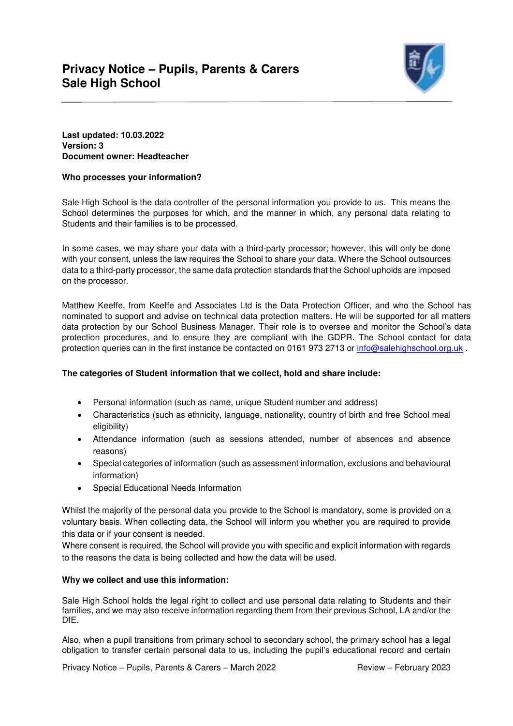

# **Last updated: 10.03.2022 Version: 3 Document owner: Headteacher**

# **Who processes your information?**

Sale High School is the data controller of the personal information you provide to us. This means the School determines the purposes for which, and the manner in which, any personal data relating to Students and their families is to be processed.

In some cases, we may share your data with a third-party processor; however, this will only be done with your consent, unless the law requires the School to share your data. Where the School outsources data to a third-party processor, the same data protection standards that the School upholds are imposed on the processor.

Matthew Keeffe, from Keeffe and Associates Ltd is the Data Protection Officer, and who the School has nominated to support and advise on technical data protection matters. He will be supported for all matters data protection by our School Business Manager. Their role is to oversee and monitor the School's data protection procedures, and to ensure they are compliant with the GDPR. The School contact for data protection queries can in the first instance be contacted on 0161 973 2713 or [info@salehighschool.org.uk](mailto:info@salehighschool.org.uk).

## **The categories of Student information that we collect, hold and share include:**

- Personal information (such as name, unique Student number and address)
- Characteristics (such as ethnicity, language, nationality, country of birth and free School meal eligibility)
- Attendance information (such as sessions attended, number of absences and absence reasons)
- Special categories of information (such as assessment information, exclusions and behavioural information)
- Special Educational Needs Information

Whilst the majority of the personal data you provide to the School is mandatory, some is provided on a voluntary basis. When collecting data, the School will inform you whether you are required to provide this data or if your consent is needed.

Where consent is required, the School will provide you with specific and explicit information with regards to the reasons the data is being collected and how the data will be used.

## **Why we collect and use this information:**

Sale High School holds the legal right to collect and use personal data relating to Students and their families, and we may also receive information regarding them from their previous School, LA and/or the DfE.

Also, when a pupil transitions from primary school to secondary school, the primary school has a legal obligation to transfer certain personal data to us, including the pupil's educational record and certain

Privacy Notice – Pupils, Parents & Carers – March 2022 Review – February 2023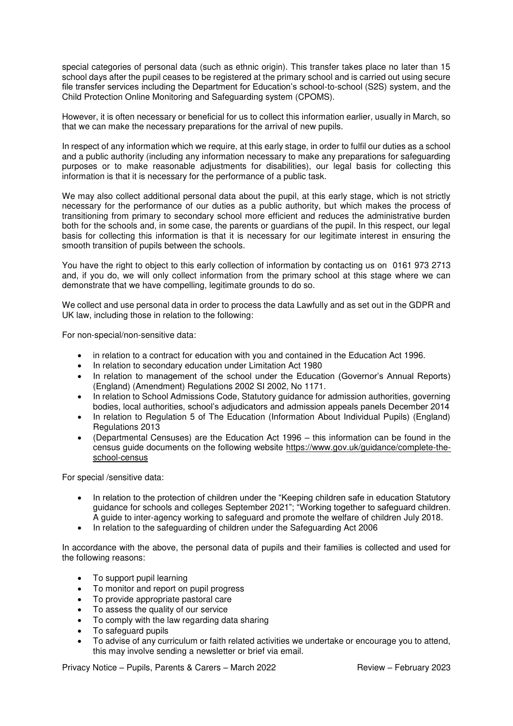special categories of personal data (such as ethnic origin). This transfer takes place no later than 15 school days after the pupil ceases to be registered at the primary school and is carried out using secure file transfer services including the Department for Education's school-to-school (S2S) system, and the Child Protection Online Monitoring and Safeguarding system (CPOMS).

However, it is often necessary or beneficial for us to collect this information earlier, usually in March, so that we can make the necessary preparations for the arrival of new pupils.

In respect of any information which we require, at this early stage, in order to fulfil our duties as a school and a public authority (including any information necessary to make any preparations for safeguarding purposes or to make reasonable adjustments for disabilities), our legal basis for collecting this information is that it is necessary for the performance of a public task.

We may also collect additional personal data about the pupil, at this early stage, which is not strictly necessary for the performance of our duties as a public authority, but which makes the process of transitioning from primary to secondary school more efficient and reduces the administrative burden both for the schools and, in some case, the parents or guardians of the pupil. In this respect, our legal basis for collecting this information is that it is necessary for our legitimate interest in ensuring the smooth transition of pupils between the schools.

You have the right to object to this early collection of information by contacting us on 0161 973 2713 and, if you do, we will only collect information from the primary school at this stage where we can demonstrate that we have compelling, legitimate grounds to do so.

We collect and use personal data in order to process the data Lawfully and as set out in the GDPR and UK law, including those in relation to the following:

For non-special/non-sensitive data:

- in relation to a contract for education with you and contained in the Education Act 1996.
- In relation to secondary education under Limitation Act 1980
- In relation to management of the school under the Education (Governor's Annual Reports) (England) (Amendment) Regulations 2002 SI 2002, No 1171.
- In relation to School Admissions Code, Statutory guidance for admission authorities, governing bodies, local authorities, school's adjudicators and admission appeals panels December 2014
- In relation to Regulation 5 of The Education (Information About Individual Pupils) (England) Regulations 2013
- (Departmental Censuses) are the Education Act 1996 this information can be found in the census guide documents on the following website [https://www.gov.uk/guidance/complete-the](https://www.gov.uk/guidance/complete-the-school-census)[school-census](https://www.gov.uk/guidance/complete-the-school-census)

For special /sensitive data:

- In relation to the protection of children under the "Keeping children safe in education Statutory guidance for schools and colleges September 2021"; "Working together to safeguard children. A guide to inter-agency working to safeguard and promote the welfare of children July 2018.
- In relation to the safeguarding of children under the Safeguarding Act 2006

In accordance with the above, the personal data of pupils and their families is collected and used for the following reasons:

- To support pupil learning
- To monitor and report on pupil progress
- To provide appropriate pastoral care
- To assess the quality of our service
- To comply with the law regarding data sharing
- To safeguard pupils
- To advise of any curriculum or faith related activities we undertake or encourage you to attend, this may involve sending a newsletter or brief via email.

Privacy Notice – Pupils, Parents & Carers – March 2022 Review – February 2023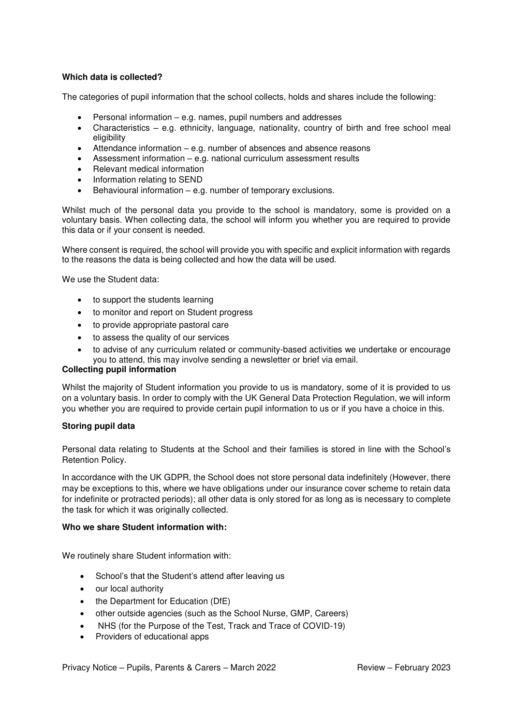# **Which data is collected?**

The categories of pupil information that the school collects, holds and shares include the following:

- Personal information e.g. names, pupil numbers and addresses
- Characteristics e.g. ethnicity, language, nationality, country of birth and free school meal eligibility
- Attendance information e.g. number of absences and absence reasons
- Assessment information e.g. national curriculum assessment results
- Relevant medical information
- Information relating to SEND
- Behavioural information e.g. number of temporary exclusions.

Whilst much of the personal data you provide to the school is mandatory, some is provided on a voluntary basis. When collecting data, the school will inform you whether you are required to provide this data or if your consent is needed.

Where consent is required, the school will provide you with specific and explicit information with regards to the reasons the data is being collected and how the data will be used.

We use the Student data:

- to support the students learning
- to monitor and report on Student progress
- to provide appropriate pastoral care
- to assess the quality of our services
- to advise of any curriculum related or community-based activities we undertake or encourage you to attend, this may involve sending a newsletter or brief via email.

# **Collecting pupil information**

Whilst the majority of Student information you provide to us is mandatory, some of it is provided to us on a voluntary basis. In order to comply with the UK General Data Protection Regulation, we will inform you whether you are required to provide certain pupil information to us or if you have a choice in this.

## **Storing pupil data**

Personal data relating to Students at the School and their families is stored in line with the School's Retention Policy.

In accordance with the UK GDPR, the School does not store personal data indefinitely (However, there may be exceptions to this, where we have obligations under our insurance cover scheme to retain data for indefinite or protracted periods); all other data is only stored for as long as is necessary to complete the task for which it was originally collected.

## **Who we share Student information with:**

We routinely share Student information with:

- School's that the Student's attend after leaving us
- our local authority
- the Department for Education (DfE)
- other outside agencies (such as the School Nurse, GMP, Careers)
- NHS (for the Purpose of the Test, Track and Trace of COVID-19)
- Providers of educational apps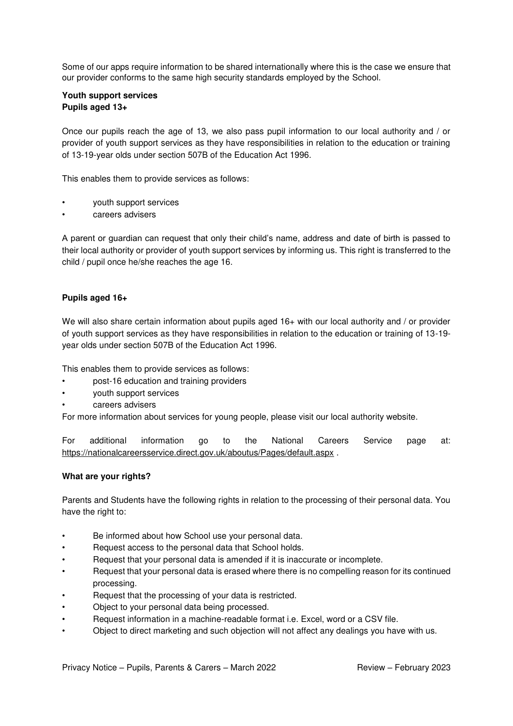Some of our apps require information to be shared internationally where this is the case we ensure that our provider conforms to the same high security standards employed by the School.

### **Youth support services Pupils aged 13+**

Once our pupils reach the age of 13, we also pass pupil information to our local authority and / or provider of youth support services as they have responsibilities in relation to the education or training of 13-19-year olds under section 507B of the Education Act 1996.

This enables them to provide services as follows:

- youth support services
- careers advisers

A parent or guardian can request that only their child's name, address and date of birth is passed to their local authority or provider of youth support services by informing us. This right is transferred to the child / pupil once he/she reaches the age 16.

## **Pupils aged 16+**

We will also share certain information about pupils aged 16+ with our local authority and / or provider of youth support services as they have responsibilities in relation to the education or training of 13-19 year olds under section 507B of the Education Act 1996.

This enables them to provide services as follows:

- post-16 education and training providers
- youth support services
- careers advisers

For more information about services for young people, please visit our local authority website.

For additional information go to the National Careers Service page at: <https://nationalcareersservice.direct.gov.uk/aboutus/Pages/default.aspx>.

#### **What are your rights?**

Parents and Students have the following rights in relation to the processing of their personal data. You have the right to:

- Be informed about how School use your personal data.
- Request access to the personal data that School holds.
- Request that your personal data is amended if it is inaccurate or incomplete.
- Request that your personal data is erased where there is no compelling reason for its continued processing.
- Request that the processing of your data is restricted.
- Object to your personal data being processed.
- Request information in a machine-readable format i.e. Excel, word or a CSV file.
- Object to direct marketing and such objection will not affect any dealings you have with us.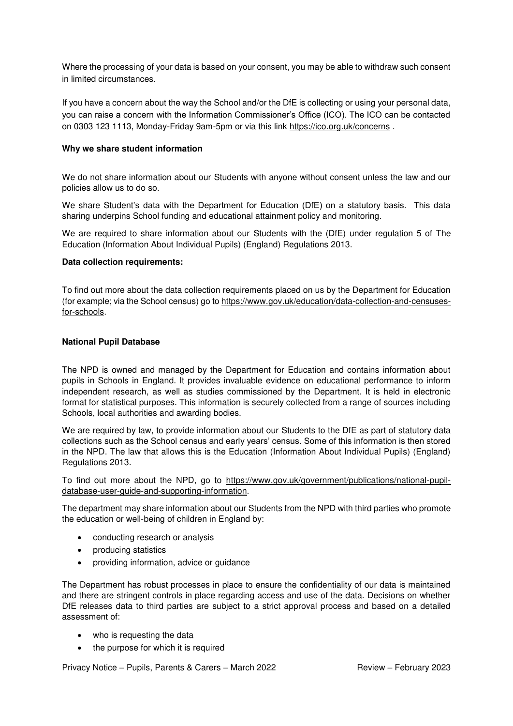Where the processing of your data is based on your consent, you may be able to withdraw such consent in limited circumstances.

If you have a concern about the way the School and/or the DfE is collecting or using your personal data, you can raise a concern with the Information Commissioner's Office (ICO). The ICO can be contacted on 0303 123 1113, Monday-Friday 9am-5pm or via this link<https://ico.org.uk/concerns>.

### **Why we share student information**

We do not share information about our Students with anyone without consent unless the law and our policies allow us to do so.

We share Student's data with the Department for Education (DfE) on a statutory basis. This data sharing underpins School funding and educational attainment policy and monitoring.

We are required to share information about our Students with the (DfE) under regulation 5 of The Education (Information About Individual Pupils) (England) Regulations 2013.

### **Data collection requirements:**

To find out more about the data collection requirements placed on us by the Department for Education (for example; via the School census) go to [https://www.gov.uk/education/data-collection-and-censuses](https://www.gov.uk/education/data-collection-and-censuses-for-schools)[for-schools.](https://www.gov.uk/education/data-collection-and-censuses-for-schools)

### **National Pupil Database**

The NPD is owned and managed by the Department for Education and contains information about pupils in Schools in England. It provides invaluable evidence on educational performance to inform independent research, as well as studies commissioned by the Department. It is held in electronic format for statistical purposes. This information is securely collected from a range of sources including Schools, local authorities and awarding bodies.

We are required by law, to provide information about our Students to the DfE as part of statutory data collections such as the School census and early years' census. Some of this information is then stored in the NPD. The law that allows this is the Education (Information About Individual Pupils) (England) Regulations 2013.

To find out more about the NPD, go to [https://www.gov.uk/government/publications/national-pupil](https://www.gov.uk/government/publications/national-pupil-database-user-guide-and-supporting-information)[database-user-guide-and-supporting-information.](https://www.gov.uk/government/publications/national-pupil-database-user-guide-and-supporting-information)

The department may share information about our Students from the NPD with third parties who promote the education or well-being of children in England by:

- conducting research or analysis
- producing statistics
- providing information, advice or guidance

The Department has robust processes in place to ensure the confidentiality of our data is maintained and there are stringent controls in place regarding access and use of the data. Decisions on whether DfE releases data to third parties are subject to a strict approval process and based on a detailed assessment of:

- who is requesting the data
- the purpose for which it is required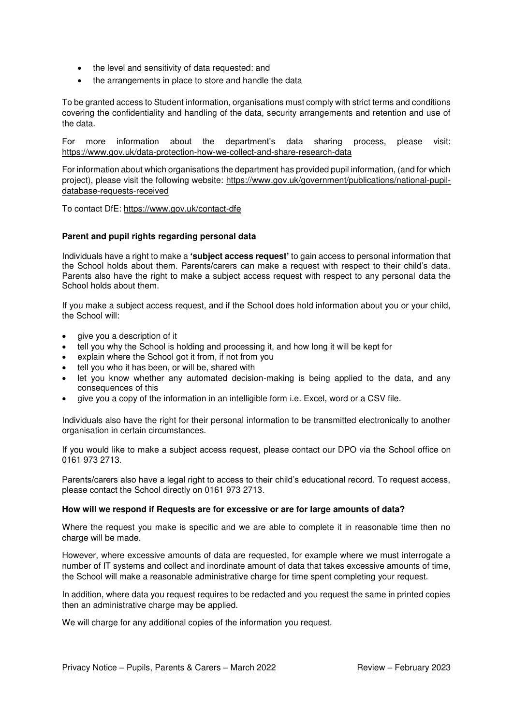- the level and sensitivity of data requested: and
- the arrangements in place to store and handle the data

To be granted access to Student information, organisations must comply with strict terms and conditions covering the confidentiality and handling of the data, security arrangements and retention and use of the data.

For more information about the department's data sharing process, please visit: <https://www.gov.uk/data-protection-how-we-collect-and-share-research-data>

For information about which organisations the department has provided pupil information, (and for which project), please visit the following website: [https://www.gov.uk/government/publications/national-pupil](https://www.gov.uk/government/publications/national-pupil-database-requests-received)[database-requests-received](https://www.gov.uk/government/publications/national-pupil-database-requests-received) 

To contact DfE:<https://www.gov.uk/contact-dfe>

#### **Parent and pupil rights regarding personal data**

Individuals have a right to make a **'subject access request'** to gain access to personal information that the School holds about them. Parents/carers can make a request with respect to their child's data. Parents also have the right to make a subject access request with respect to any personal data the School holds about them.

If you make a subject access request, and if the School does hold information about you or your child, the School will:

- aive you a description of it
- tell you why the School is holding and processing it, and how long it will be kept for
- explain where the School got it from, if not from you
- tell you who it has been, or will be, shared with
- let you know whether any automated decision-making is being applied to the data, and any consequences of this
- give you a copy of the information in an intelligible form i.e. Excel, word or a CSV file.

Individuals also have the right for their personal information to be transmitted electronically to another organisation in certain circumstances.

If you would like to make a subject access request, please contact our DPO via the School office on 0161 973 2713.

Parents/carers also have a legal right to access to their child's educational record. To request access, please contact the School directly on 0161 973 2713.

#### **How will we respond if Requests are for excessive or are for large amounts of data?**

Where the request you make is specific and we are able to complete it in reasonable time then no charge will be made.

However, where excessive amounts of data are requested, for example where we must interrogate a number of IT systems and collect and inordinate amount of data that takes excessive amounts of time, the School will make a reasonable administrative charge for time spent completing your request.

In addition, where data you request requires to be redacted and you request the same in printed copies then an administrative charge may be applied.

We will charge for any additional copies of the information you request.